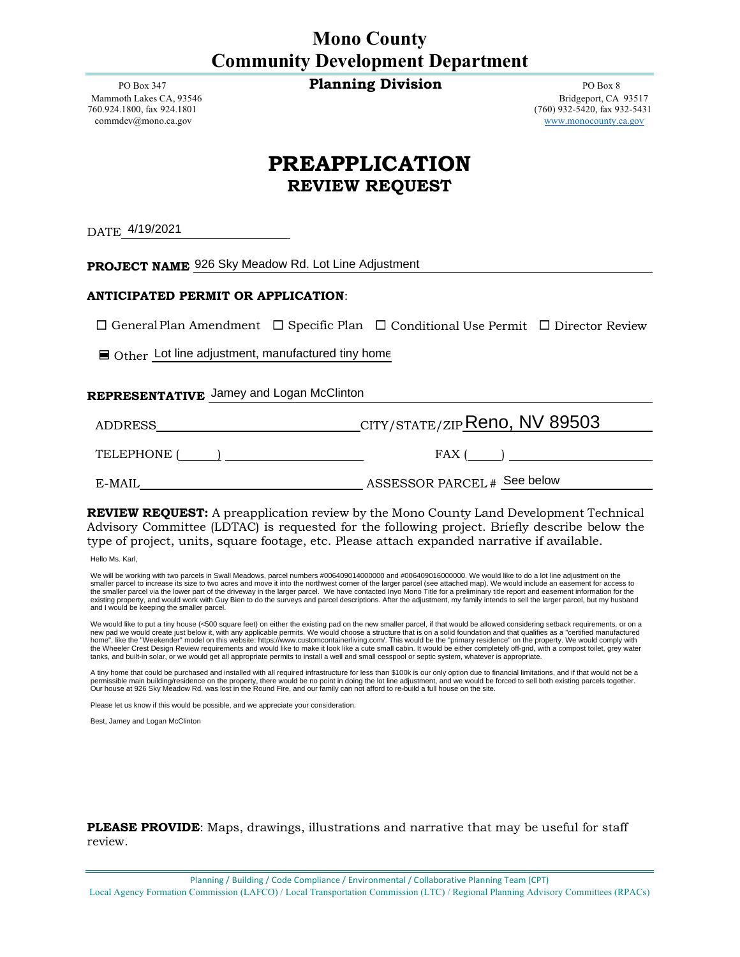## **Mono County Community Development Department**

Mammoth Lakes CA, 93546<br>760.924.1800, fax 924.1801 [commdev@mono.ca.gov](mailto:commdev@mono.ca.gov) [www.monocounty.ca.gov](http://www.monocounty.ca.gov/)

PO Box 347 **Planning Division Planning Division PO Box 8 PO Box 8 PO Box 8 PO Box 8 Bridgeport, CA 93517**  $(760)$  932-5420, fax 932-5431

# **PREAPPLICATION REVIEW REQUEST**

DATE 4/19/2021

**PROJECT NAME** 926 Sky Meadow Rd. Lot Line Adjustment

### **ANTICIPATED PERMIT OR APPLICATION**:

☐ GeneralPlan Amendment ☐ Specific Plan ☐ Conditional Use Permit ☐ Director Review

■ Other\_Lot line adjustment, manufactured tiny home

## **REPRESENTATIVE** Jamey and Logan McClinton

| ADDRESS     | CITY/STATE/ZIP Reno, NV 89503 |
|-------------|-------------------------------|
| TELEPHONE ( | FAX (                         |
| E-MAIL      | ASSESSOR PARCEL # See below   |

**REVIEW REQUEST:** A preapplication review by the Mono County Land Development Technical Advisory Committee (LDTAC) is requested for the following project. Briefly describe below the type of project, units, square footage, etc. Please attach expanded narrative if available.

Hello Ms. Karl,

We will be working with two parcels in Swall Meadows, parcel numbers #00640901400000 and #00640901600000. We would like to do a lot line adjustment on the smaller parcel to increase its size to two acres and move it into the northwest corner of the larger parcel (see attached map). We would include an easement for access to the smaller parcel via the lower part of the driveway in the larger parcel. We have contacted Inyo Mono Title for a preliminary title report and easement information for the<br>existing property, and would work with Guy Bien and I would be keeping the smaller parcel.

We would like to put a tiny house (<500 square feet) on either the existing pad on the new smaller parcel, if that would be allowed considering setback requirements, or on a new pad we would create just below it, with any applicable permits. We would choose a structure that is on a solid foundation and that qualifies as a "certified manufactured<br>home", like the "Weekender" model on this websit tanks, and built-in solar, or we would get all appropriate permits to install a well and small cesspool or septic system, whatever is appropriate.

A tiny home that could be purchased and installed with all required infrastructure for less than \$100k is our only option due to financial limitations, and if that would not be a permissible main building/residence on the property, there would be no point in doing the lot line adjustment, and we would be forced to sell both existing parcels together.<br>Our house at 926 Sky Meadow Rd. was lost in the

Please let us know if this would be possible, and we appreciate your consideration.

Best, Jamey and Logan McClinton

**PLEASE PROVIDE:** Maps, drawings, illustrations and narrative that may be useful for staff review.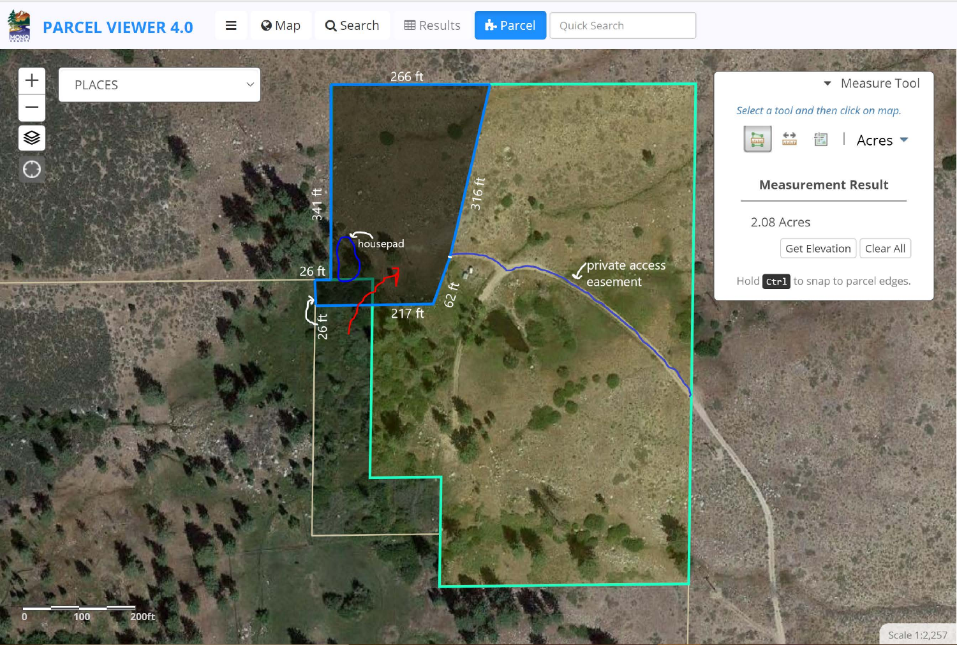

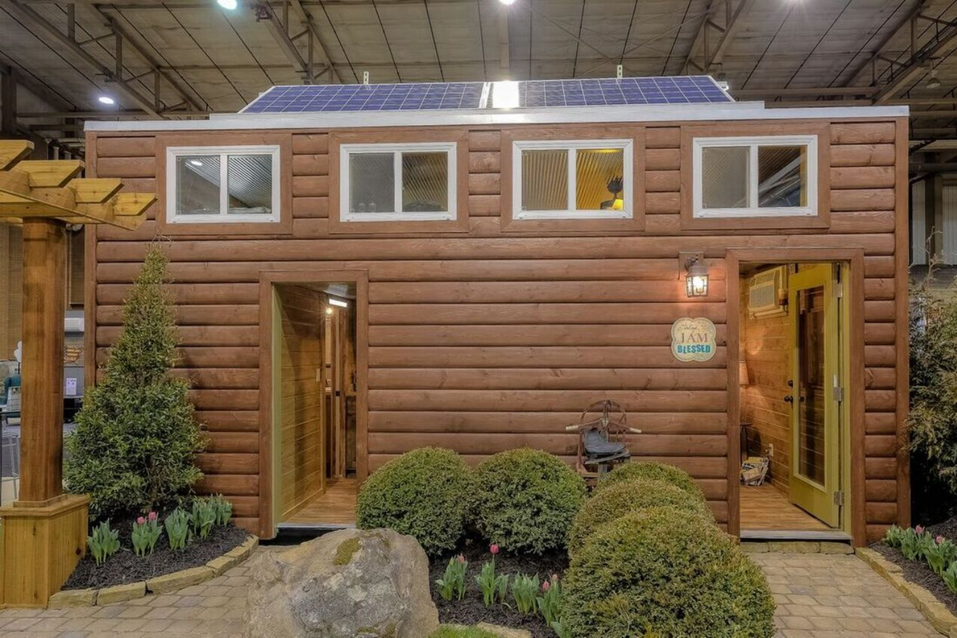